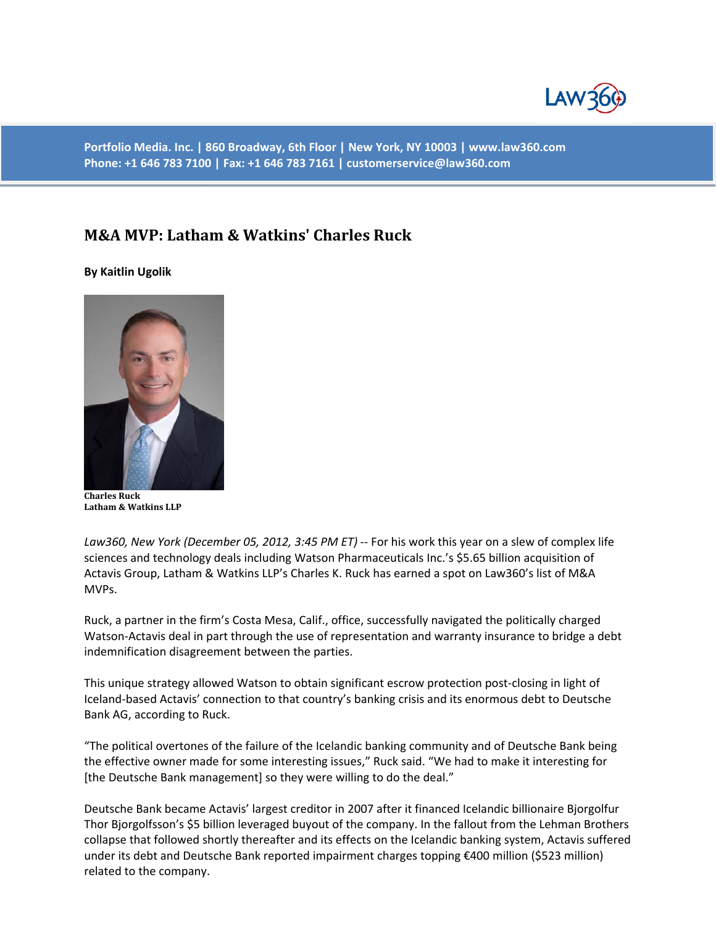

**Portfolio Media. Inc. | 860 Broadway, 6th Floor | New York, NY 10003 | www.law360.com Phone: +1 646 783 7100 | Fax: +1 646 783 7161 | customerservice@law360.com** 

## **M&A MVP: Latham & Watkins' Charles Ruck**

## **By Kaitlin Ugolik**



**Charles Ruck Latham & Watkins LLP**

*Law360, New York (December 05, 2012, 3:45 PM ET)* -- For his work this year on a slew of complex life sciences and technology deals including Watson Pharmaceuticals Inc.'s \$5.65 billion acquisition of Actavis Group, Latham & Watkins LLP's Charles K. Ruck has earned a spot on Law360's list of M&A MVPs.

Ruck, a partner in the firm's Costa Mesa, Calif., office, successfully navigated the politically charged Watson-Actavis deal in part through the use of representation and warranty insurance to bridge a debt indemnification disagreement between the parties.

This unique strategy allowed Watson to obtain significant escrow protection post-closing in light of Iceland-based Actavis' connection to that country's banking crisis and its enormous debt to Deutsche Bank AG, according to Ruck.

"The political overtones of the failure of the Icelandic banking community and of Deutsche Bank being the effective owner made for some interesting issues," Ruck said. "We had to make it interesting for [the Deutsche Bank management] so they were willing to do the deal."

Deutsche Bank became Actavis' largest creditor in 2007 after it financed Icelandic billionaire Bjorgolfur Thor Bjorgolfsson's \$5 billion leveraged buyout of the company. In the fallout from the Lehman Brothers collapse that followed shortly thereafter and its effects on the Icelandic banking system, Actavis suffered under its debt and Deutsche Bank reported impairment charges topping €400 million (\$523 million) related to the company.